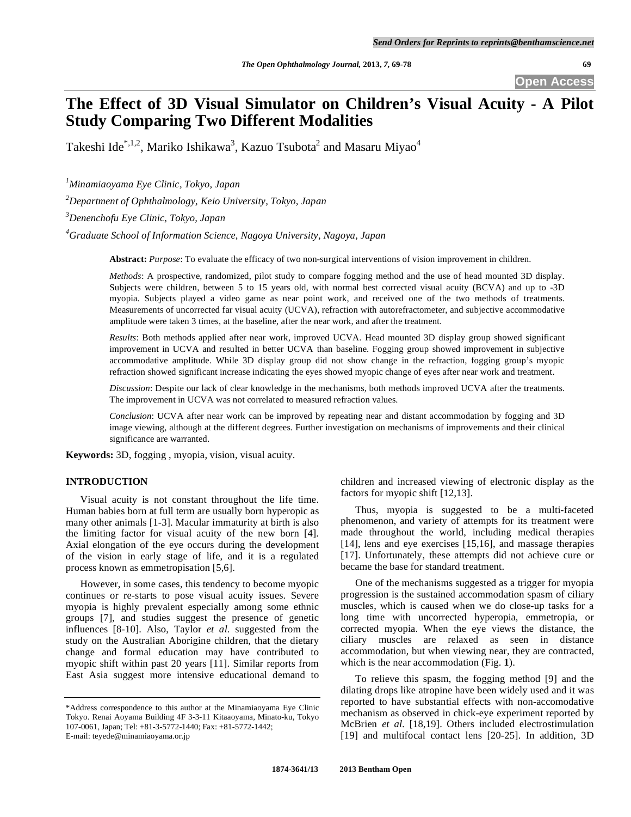# **The Effect of 3D Visual Simulator on Children's Visual Acuity - A Pilot Study Comparing Two Different Modalities**

Takeshi Ide $^{\ast,1,2}$ , Mariko Ishikawa $^3$ , Kazuo Tsubota $^2$  and Masaru Miyao $^4$ 

*1 Minamiaoyama Eye Clinic, Tokyo, Japan* 

*2 Department of Ophthalmology, Keio University, Tokyo, Japan* 

*3 Denenchofu Eye Clinic, Tokyo, Japan* 

*4 Graduate School of Information Science, Nagoya University, Nagoya, Japan* 

**Abstract:** *Purpose*: To evaluate the efficacy of two non-surgical interventions of vision improvement in children.

*Methods*: A prospective, randomized, pilot study to compare fogging method and the use of head mounted 3D display. Subjects were children, between 5 to 15 years old, with normal best corrected visual acuity (BCVA) and up to -3D myopia. Subjects played a video game as near point work, and received one of the two methods of treatments. Measurements of uncorrected far visual acuity (UCVA), refraction with autorefractometer, and subjective accommodative amplitude were taken 3 times, at the baseline, after the near work, and after the treatment.

*Results*: Both methods applied after near work, improved UCVA. Head mounted 3D display group showed significant improvement in UCVA and resulted in better UCVA than baseline. Fogging group showed improvement in subjective accommodative amplitude. While 3D display group did not show change in the refraction, fogging group's myopic refraction showed significant increase indicating the eyes showed myopic change of eyes after near work and treatment.

*Discussion*: Despite our lack of clear knowledge in the mechanisms, both methods improved UCVA after the treatments. The improvement in UCVA was not correlated to measured refraction values.

*Conclusion*: UCVA after near work can be improved by repeating near and distant accommodation by fogging and 3D image viewing, although at the different degrees. Further investigation on mechanisms of improvements and their clinical significance are warranted.

**Keywords:** 3D, fogging , myopia, vision, visual acuity.

# **INTRODUCTION**

 Visual acuity is not constant throughout the life time. Human babies born at full term are usually born hyperopic as many other animals [1-3]. Macular immaturity at birth is also the limiting factor for visual acuity of the new born [4]. Axial elongation of the eye occurs during the development of the vision in early stage of life, and it is a regulated process known as emmetropisation [5,6].

 However, in some cases, this tendency to become myopic continues or re-starts to pose visual acuity issues. Severe myopia is highly prevalent especially among some ethnic groups [7], and studies suggest the presence of genetic influences [8-10]. Also, Taylor *et al*. suggested from the study on the Australian Aborigine children, that the dietary change and formal education may have contributed to myopic shift within past 20 years [11]. Similar reports from East Asia suggest more intensive educational demand to

children and increased viewing of electronic display as the factors for myopic shift [12,13].

 Thus, myopia is suggested to be a multi-faceted phenomenon, and variety of attempts for its treatment were made throughout the world, including medical therapies [14], lens and eye exercises [15,16], and massage therapies [17]. Unfortunately, these attempts did not achieve cure or became the base for standard treatment.

 One of the mechanisms suggested as a trigger for myopia progression is the sustained accommodation spasm of ciliary muscles, which is caused when we do close-up tasks for a long time with uncorrected hyperopia, emmetropia, or corrected myopia. When the eye views the distance, the ciliary muscles are relaxed as seen in distance accommodation, but when viewing near, they are contracted, which is the near accommodation (Fig. **1**).

 To relieve this spasm, the fogging method [9] and the dilating drops like atropine have been widely used and it was reported to have substantial effects with non-accomodative mechanism as observed in chick-eye experiment reported by McBrien *et al.* [18,19]. Others included electrostimulation [19] and multifocal contact lens [20-25]. In addition, 3D

<sup>\*</sup>Address correspondence to this author at the Minamiaoyama Eye Clinic Tokyo. Renai Aoyama Building 4F 3-3-11 Kitaaoyama, Minato-ku, Tokyo 107-0061, Japan; Tel: +81-3-5772-1440; Fax: +81-5772-1442; E-mail: teyede@minamiaoyama.or.jp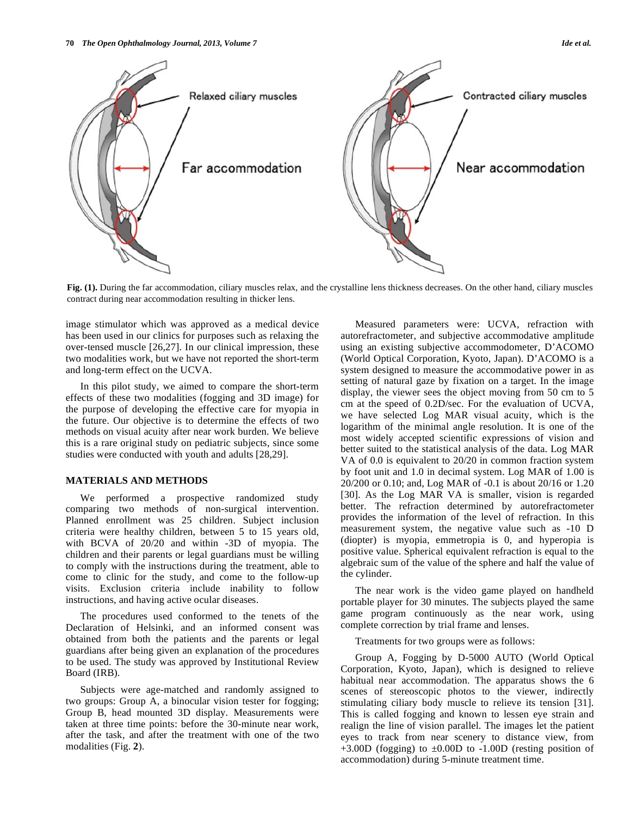

**Fig. (1).** During the far accommodation, ciliary muscles relax, and the crystalline lens thickness decreases. On the other hand, ciliary muscles contract during near accommodation resulting in thicker lens.

image stimulator which was approved as a medical device has been used in our clinics for purposes such as relaxing the over-tensed muscle [26,27]. In our clinical impression, these two modalities work, but we have not reported the short-term and long-term effect on the UCVA.

 In this pilot study, we aimed to compare the short-term effects of these two modalities (fogging and 3D image) for the purpose of developing the effective care for myopia in the future. Our objective is to determine the effects of two methods on visual acuity after near work burden. We believe this is a rare original study on pediatric subjects, since some studies were conducted with youth and adults [28,29].

# **MATERIALS AND METHODS**

We performed a prospective randomized study comparing two methods of non-surgical intervention. Planned enrollment was 25 children. Subject inclusion criteria were healthy children, between 5 to 15 years old, with BCVA of 20/20 and within -3D of myopia. The children and their parents or legal guardians must be willing to comply with the instructions during the treatment, able to come to clinic for the study, and come to the follow-up visits. Exclusion criteria include inability to follow instructions, and having active ocular diseases.

 The procedures used conformed to the tenets of the Declaration of Helsinki, and an informed consent was obtained from both the patients and the parents or legal guardians after being given an explanation of the procedures to be used. The study was approved by Institutional Review Board (IRB).

 Subjects were age-matched and randomly assigned to two groups: Group A, a binocular vision tester for fogging; Group B, head mounted 3D display. Measurements were taken at three time points: before the 30-minute near work, after the task, and after the treatment with one of the two modalities (Fig. **2**).

 Measured parameters were: UCVA, refraction with autorefractometer, and subjective accommodative amplitude using an existing subjective accommodometer, D'ACOMO (World Optical Corporation, Kyoto, Japan). D'ACOMO is a system designed to measure the accommodative power in as setting of natural gaze by fixation on a target. In the image display, the viewer sees the object moving from 50 cm to 5 cm at the speed of 0.2D/sec. For the evaluation of UCVA, we have selected Log MAR visual acuity, which is the logarithm of the minimal angle resolution. It is one of the most widely accepted scientific expressions of vision and better suited to the statistical analysis of the data. Log MAR VA of 0.0 is equivalent to 20/20 in common fraction system by foot unit and 1.0 in decimal system. Log MAR of 1.00 is 20/200 or 0.10; and, Log MAR of -0.1 is about 20/16 or 1.20 [30]. As the Log MAR VA is smaller, vision is regarded better. The refraction determined by autorefractometer provides the information of the level of refraction. In this measurement system, the negative value such as -10 D (diopter) is myopia, emmetropia is 0, and hyperopia is positive value. Spherical equivalent refraction is equal to the algebraic sum of the value of the sphere and half the value of the cylinder.

 The near work is the video game played on handheld portable player for 30 minutes. The subjects played the same game program continuously as the near work, using complete correction by trial frame and lenses.

Treatments for two groups were as follows:

 Group A, Fogging by D-5000 AUTO (World Optical Corporation, Kyoto, Japan), which is designed to relieve habitual near accommodation. The apparatus shows the 6 scenes of stereoscopic photos to the viewer, indirectly stimulating ciliary body muscle to relieve its tension [31]. This is called fogging and known to lessen eye strain and realign the line of vision parallel. The images let the patient eyes to track from near scenery to distance view, from  $+3.00D$  (fogging) to  $\pm 0.00D$  to  $-1.00D$  (resting position of accommodation) during 5-minute treatment time.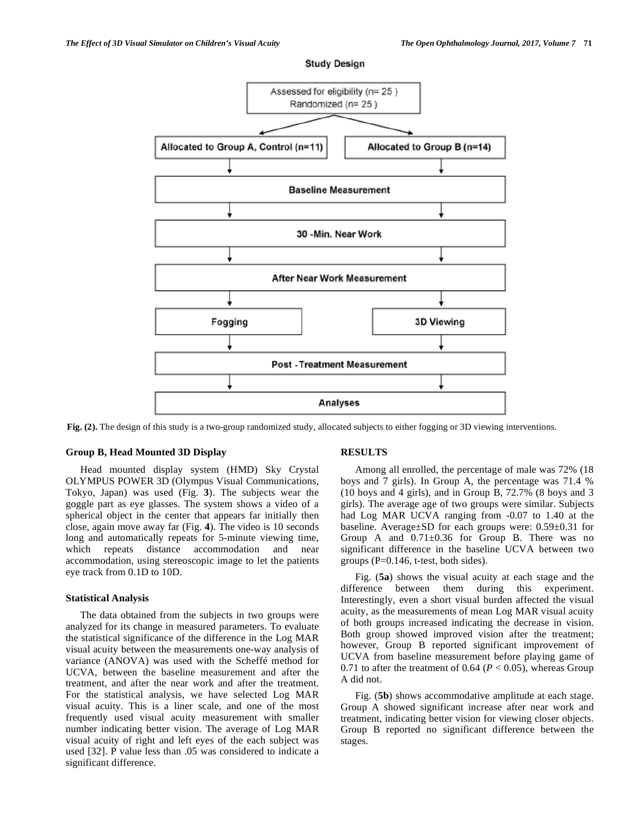

**Study Design** 

**Fig. (2).** The design of this study is a two-group randomized study, allocated subjects to either fogging or 3D viewing interventions.

# **Group B, Head Mounted 3D Display**

 Head mounted display system (HMD) Sky Crystal OLYMPUS POWER 3D (Olympus Visual Communications, Tokyo, Japan) was used (Fig. **3**). The subjects wear the goggle part as eye glasses. The system shows a video of a spherical object in the center that appears far initially then close, again move away far (Fig. **4**). The video is 10 seconds long and automatically repeats for 5-minute viewing time, which repeats distance accommodation and near accommodation, using stereoscopic image to let the patients eye track from 0.1D to 10D.

#### **Statistical Analysis**

 The data obtained from the subjects in two groups were analyzed for its change in measured parameters. To evaluate the statistical significance of the difference in the Log MAR visual acuity between the measurements one-way analysis of variance (ANOVA) was used with the Scheffé method for UCVA, between the baseline measurement and after the treatment, and after the near work and after the treatment. For the statistical analysis, we have selected Log MAR visual acuity. This is a liner scale, and one of the most frequently used visual acuity measurement with smaller number indicating better vision. The average of Log MAR visual acuity of right and left eyes of the each subject was used [32]. P value less than .05 was considered to indicate a significant difference.

### **RESULTS**

 Among all enrolled, the percentage of male was 72% (18 boys and 7 girls). In Group A, the percentage was 71.4 % (10 boys and 4 girls), and in Group B, 72.7% (8 boys and 3 girls). The average age of two groups were similar. Subjects had Log MAR UCVA ranging from -0.07 to 1.40 at the baseline. Average±SD for each groups were: 0.59±0.31 for Group A and 0.71±0.36 for Group B. There was no significant difference in the baseline UCVA between two groups  $(P=0.146, t-test, both sides)$ .

 Fig. (**5a**) shows the visual acuity at each stage and the difference between them during this experiment. Interestingly, even a short visual burden affected the visual acuity, as the measurements of mean Log MAR visual acuity of both groups increased indicating the decrease in vision. Both group showed improved vision after the treatment; however, Group B reported significant improvement of UCVA from baseline measurement before playing game of 0.71 to after the treatment of 0.64 ( $P < 0.05$ ), whereas Group A did not.

 Fig. (**5b**) shows accommodative amplitude at each stage. Group A showed significant increase after near work and treatment, indicating better vision for viewing closer objects. Group B reported no significant difference between the stages.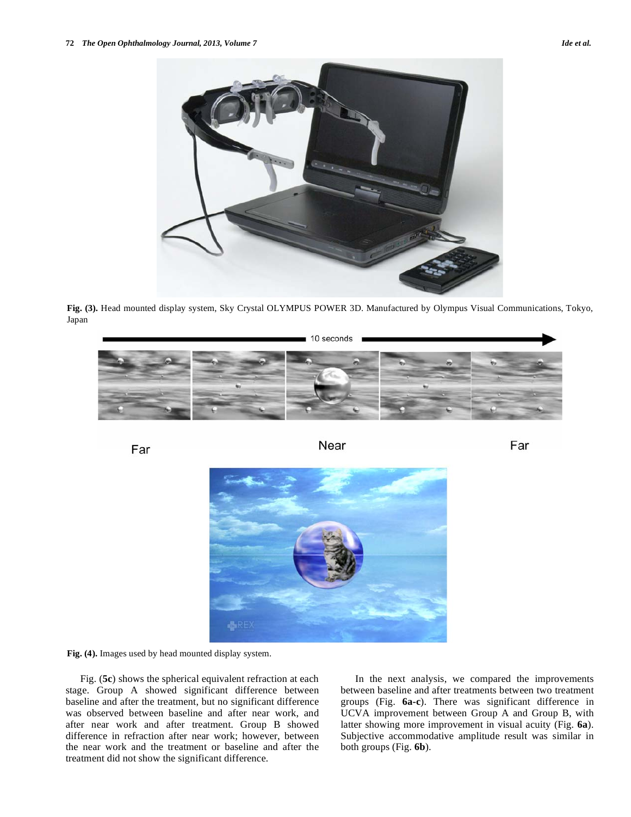

**Fig. (3).** Head mounted display system, Sky Crystal OLYMPUS POWER 3D. Manufactured by Olympus Visual Communications, Tokyo, Japan

10 seconds

Far **Near** Near **Far** 

**Fig. (4).** Images used by head mounted display system.

 Fig. (**5c**) shows the spherical equivalent refraction at each stage. Group A showed significant difference between baseline and after the treatment, but no significant difference was observed between baseline and after near work, and after near work and after treatment. Group B showed difference in refraction after near work; however, between the near work and the treatment or baseline and after the treatment did not show the significant difference.

 In the next analysis, we compared the improvements between baseline and after treatments between two treatment groups (Fig. **6a-c**). There was significant difference in UCVA improvement between Group A and Group B, with latter showing more improvement in visual acuity (Fig. **6a**). Subjective accommodative amplitude result was similar in both groups (Fig. **6b**).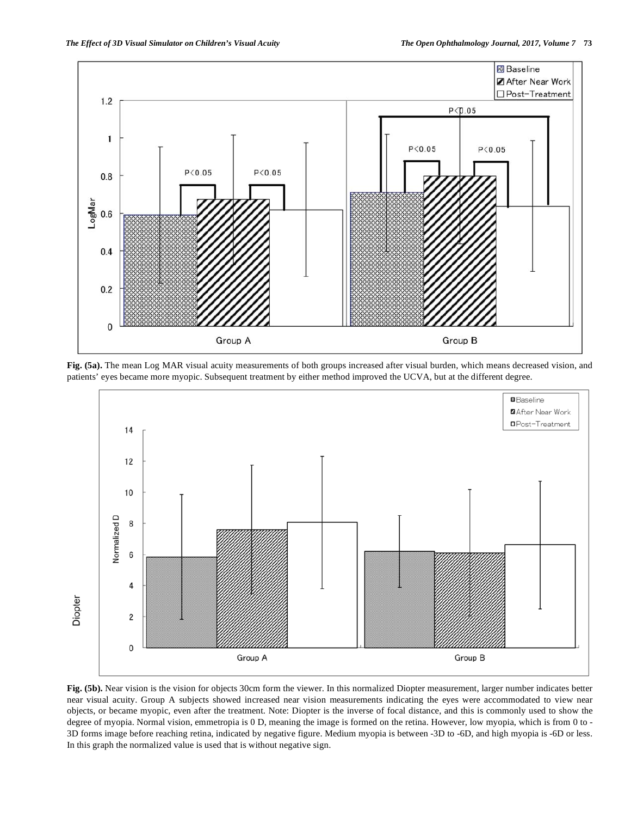

**Fig. (5a).** The mean Log MAR visual acuity measurements of both groups increased after visual burden, which means decreased vision, and patients' eyes became more myopic. Subsequent treatment by either method improved the UCVA, but at the different degree.



**Fig. (5b).** Near vision is the vision for objects 30cm form the viewer. In this normalized Diopter measurement, larger number indicates better near visual acuity. Group A subjects showed increased near vision measurements indicating the eyes were accommodated to view near objects, or became myopic, even after the treatment. Note: Diopter is the inverse of focal distance, and this is commonly used to show the degree of myopia. Normal vision, emmetropia is 0 D, meaning the image is formed on the retina. However, low myopia, which is from 0 to - 3D forms image before reaching retina, indicated by negative figure. Medium myopia is between -3D to -6D, and high myopia is -6D or less. In this graph the normalized value is used that is without negative sign.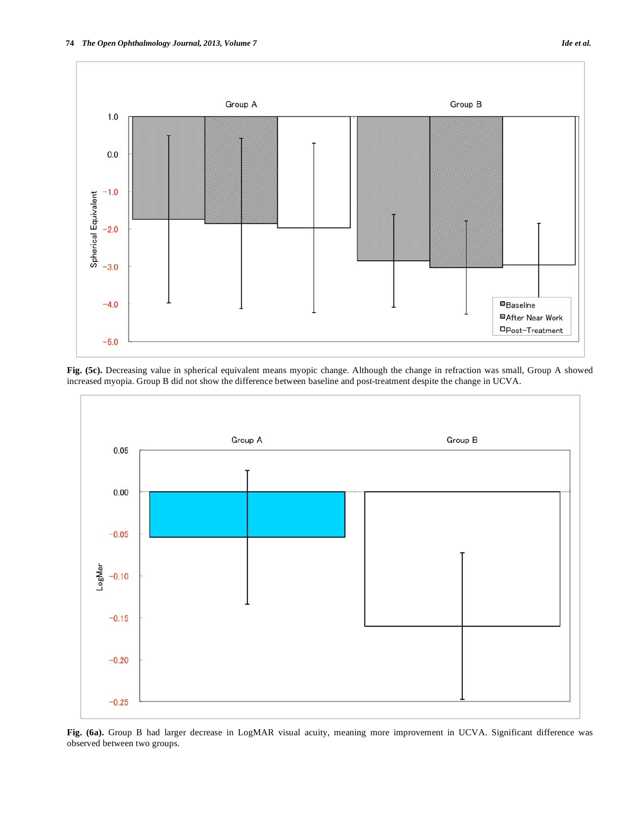



**Fig. (5c).** Decreasing value in spherical equivalent means myopic change. Although the change in refraction was small, Group A showed increased myopia. Group B did not show the difference between baseline and post-treatment despite the change in UCVA.



**Fig. (6a).** Group B had larger decrease in LogMAR visual acuity, meaning more improvement in UCVA. Significant difference was observed between two groups.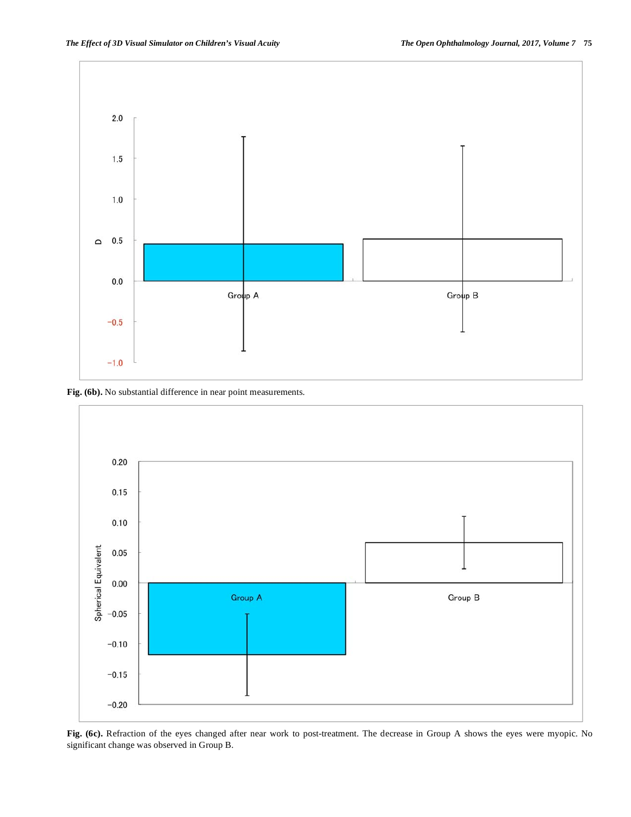

**Fig. (6b).** No substantial difference in near point measurements.



**Fig. (6c).** Refraction of the eyes changed after near work to post-treatment. The decrease in Group A shows the eyes were myopic. No significant change was observed in Group B.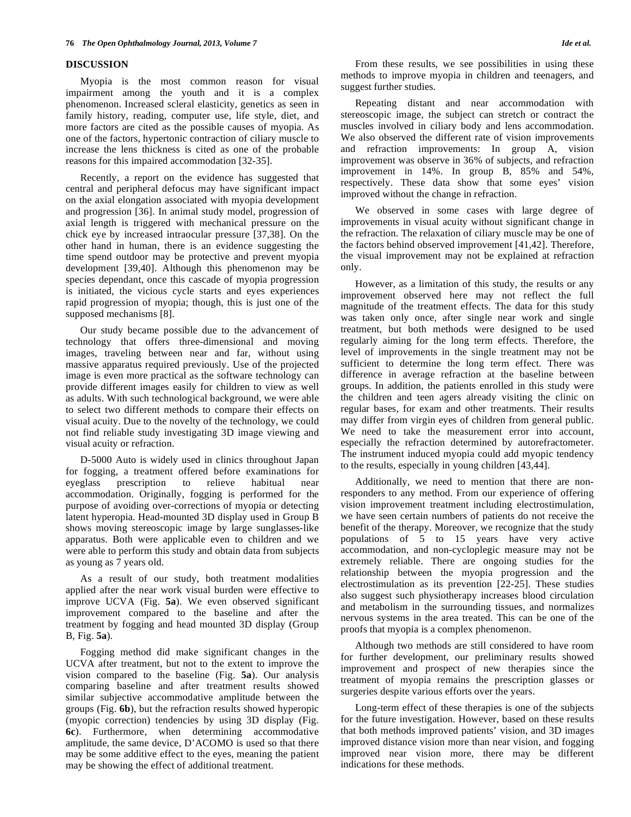# **DISCUSSION**

 Myopia is the most common reason for visual impairment among the youth and it is a complex phenomenon. Increased scleral elasticity, genetics as seen in family history, reading, computer use, life style, diet, and more factors are cited as the possible causes of myopia. As one of the factors, hypertonic contraction of ciliary muscle to increase the lens thickness is cited as one of the probable reasons for this impaired accommodation [32-35].

 Recently, a report on the evidence has suggested that central and peripheral defocus may have significant impact on the axial elongation associated with myopia development and progression [36]. In animal study model, progression of axial length is triggered with mechanical pressure on the chick eye by increased intraocular pressure [37,38]. On the other hand in human, there is an evidence suggesting the time spend outdoor may be protective and prevent myopia development [39,40]. Although this phenomenon may be species dependant, once this cascade of myopia progression is initiated, the vicious cycle starts and eyes experiences rapid progression of myopia; though, this is just one of the supposed mechanisms [8].

 Our study became possible due to the advancement of technology that offers three-dimensional and moving images, traveling between near and far, without using massive apparatus required previously. Use of the projected image is even more practical as the software technology can provide different images easily for children to view as well as adults. With such technological background, we were able to select two different methods to compare their effects on visual acuity. Due to the novelty of the technology, we could not find reliable study investigating 3D image viewing and visual acuity or refraction.

 D-5000 Auto is widely used in clinics throughout Japan for fogging, a treatment offered before examinations for eyeglass prescription to relieve habitual near accommodation. Originally, fogging is performed for the purpose of avoiding over-corrections of myopia or detecting latent hyperopia. Head-mounted 3D display used in Group B shows moving stereoscopic image by large sunglasses-like apparatus. Both were applicable even to children and we were able to perform this study and obtain data from subjects as young as 7 years old.

 As a result of our study, both treatment modalities applied after the near work visual burden were effective to improve UCVA (Fig. **5a**). We even observed significant improvement compared to the baseline and after the treatment by fogging and head mounted 3D display (Group B, Fig. **5a**).

 Fogging method did make significant changes in the UCVA after treatment, but not to the extent to improve the vision compared to the baseline (Fig. **5a**). Our analysis comparing baseline and after treatment results showed similar subjective accommodative amplitude between the groups (Fig. **6b**), but the refraction results showed hyperopic (myopic correction) tendencies by using 3D display (Fig. **6c**). Furthermore, when determining accommodative amplitude, the same device, D'ACOMO is used so that there may be some additive effect to the eyes, meaning the patient may be showing the effect of additional treatment.

 From these results, we see possibilities in using these methods to improve myopia in children and teenagers, and suggest further studies.

 Repeating distant and near accommodation with stereoscopic image, the subject can stretch or contract the muscles involved in ciliary body and lens accommodation. We also observed the different rate of vision improvements and refraction improvements: In group A, vision improvement was observe in 36% of subjects, and refraction improvement in 14%. In group B, 85% and 54%, respectively. These data show that some eyes' vision improved without the change in refraction.

 We observed in some cases with large degree of improvements in visual acuity without significant change in the refraction. The relaxation of ciliary muscle may be one of the factors behind observed improvement [41,42]. Therefore, the visual improvement may not be explained at refraction only.

 However, as a limitation of this study, the results or any improvement observed here may not reflect the full magnitude of the treatment effects. The data for this study was taken only once, after single near work and single treatment, but both methods were designed to be used regularly aiming for the long term effects. Therefore, the level of improvements in the single treatment may not be sufficient to determine the long term effect. There was difference in average refraction at the baseline between groups. In addition, the patients enrolled in this study were the children and teen agers already visiting the clinic on regular bases, for exam and other treatments. Their results may differ from virgin eyes of children from general public. We need to take the measurement error into account, especially the refraction determined by autorefractometer. The instrument induced myopia could add myopic tendency to the results, especially in young children [43,44].

 Additionally, we need to mention that there are nonresponders to any method. From our experience of offering vision improvement treatment including electrostimulation, we have seen certain numbers of patients do not receive the benefit of the therapy. Moreover, we recognize that the study populations of 5 to 15 years have very active accommodation, and non-cycloplegic measure may not be extremely reliable. There are ongoing studies for the relationship between the myopia progression and the electrostimulation as its prevention [22-25]. These studies also suggest such physiotherapy increases blood circulation and metabolism in the surrounding tissues, and normalizes nervous systems in the area treated. This can be one of the proofs that myopia is a complex phenomenon.

 Although two methods are still considered to have room for further development, our preliminary results showed improvement and prospect of new therapies since the treatment of myopia remains the prescription glasses or surgeries despite various efforts over the years.

 Long-term effect of these therapies is one of the subjects for the future investigation. However, based on these results that both methods improved patients' vision, and 3D images improved distance vision more than near vision, and fogging improved near vision more, there may be different indications for these methods.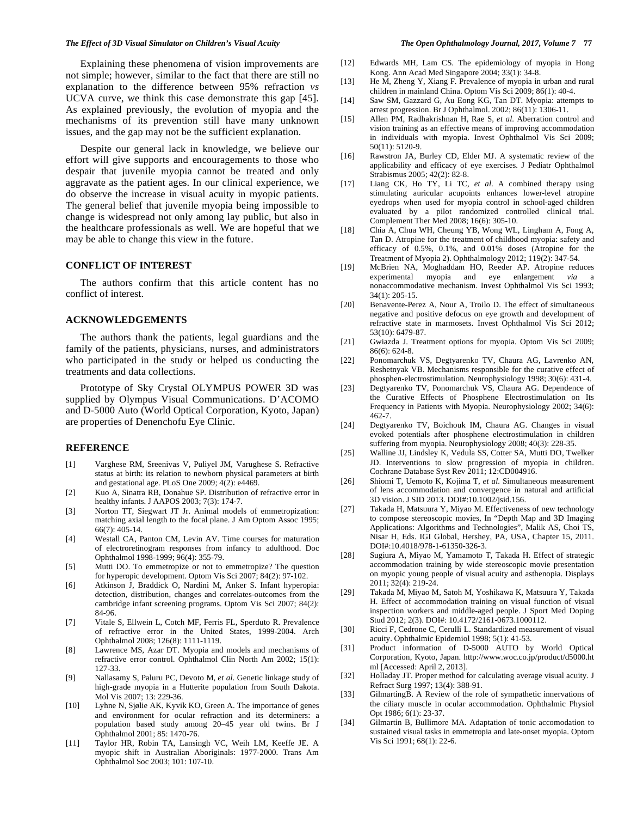### *The Effect of 3D Visual Simulator on Children's Visual Acuity The Open Ophthalmology Journal, 2017, Volume 7* **77**

 Explaining these phenomena of vision improvements are not simple; however, similar to the fact that there are still no explanation to the difference between 95% refraction *vs* UCVA curve, we think this case demonstrate this gap [45]. As explained previously, the evolution of myopia and the mechanisms of its prevention still have many unknown issues, and the gap may not be the sufficient explanation.

 Despite our general lack in knowledge, we believe our effort will give supports and encouragements to those who despair that juvenile myopia cannot be treated and only aggravate as the patient ages. In our clinical experience, we do observe the increase in visual acuity in myopic patients. The general belief that juvenile myopia being impossible to change is widespread not only among lay public, but also in the healthcare professionals as well. We are hopeful that we may be able to change this view in the future.

# **CONFLICT OF INTEREST**

 The authors confirm that this article content has no conflict of interest.

# **ACKNOWLEDGEMENTS**

 The authors thank the patients, legal guardians and the family of the patients, physicians, nurses, and administrators who participated in the study or helped us conducting the treatments and data collections.

 Prototype of Sky Crystal OLYMPUS POWER 3D was supplied by Olympus Visual Communications. D'ACOMO and D-5000 Auto (World Optical Corporation, Kyoto, Japan) are properties of Denenchofu Eye Clinic.

## **REFERENCE**

- [1] Varghese RM, Sreenivas V, Puliyel JM, Varughese S. Refractive status at birth: its relation to newborn physical parameters at birth and gestational age. PLoS One 2009; 4(2): e4469.
- [2] Kuo A, Sinatra RB, Donahue SP. Distribution of refractive error in healthy infants. J AAPOS 2003; 7(3): 174-7.
- [3] Norton TT, Siegwart JT Jr. Animal models of emmetropization: matching axial length to the focal plane. J Am Optom Assoc 1995; 66(7): 405-14.
- [4] Westall CA, Panton CM, Levin AV. Time courses for maturation of electroretinogram responses from infancy to adulthood. Doc Ophthalmol 1998-1999; 96(4): 355-79.
- [5] Mutti DO. To emmetropize or not to emmetropize? The question for hyperopic development. Optom Vis Sci 2007; 84(2): 97-102.
- [6] Atkinson J, Braddick O, Nardini M, Anker S. Infant hyperopia: detection, distribution, changes and correlates-outcomes from the cambridge infant screening programs. Optom Vis Sci 2007; 84(2): 84-96.
- [7] Vitale S, Ellwein L, Cotch MF, Ferris FL, Sperduto R. Prevalence of refractive error in the United States, 1999-2004. Arch Ophthalmol 2008; 126(8): 1111-1119.
- [8] Lawrence MS, Azar DT. Myopia and models and mechanisms of refractive error control. Ophthalmol Clin North Am 2002; 15(1): 127-33.
- [9] Nallasamy S, Paluru PC, Devoto M, *et al*. Genetic linkage study of high-grade myopia in a Hutterite population from South Dakota. Mol Vis 2007; 13: 229-36.
- [10] Lyhne N, Sjølie AK, Kyvik KO, Green A. The importance of genes and environment for ocular refraction and its determiners: a population based study among 20–45 year old twins. Br J Ophthalmol 2001; 85: 1470-76.
- [11] Taylor HR, Robin TA, Lansingh VC, Weih LM, Keeffe JE. A myopic shift in Australian Aboriginals: 1977-2000. Trans Am Ophthalmol Soc 2003; 101: 107-10.

- [12] Edwards MH, Lam CS. The epidemiology of myopia in Hong Kong. Ann Acad Med Singapore 2004; 33(1): 34-8.
- [13] He M, Zheng Y, Xiang F. Prevalence of myopia in urban and rural children in mainland China. Optom Vis Sci 2009; 86(1): 40-4.
- [14] Saw SM, Gazzard G, Au Eong KG, Tan DT. Myopia: attempts to arrest progression. Br J Ophthalmol. 2002; 86(11): 1306-11.
- [15] Allen PM, Radhakrishnan H, Rae S, *et al*. Aberration control and vision training as an effective means of improving accommodation in individuals with myopia. Invest Ophthalmol Vis Sci 2009; 50(11): 5120-9.
- [16] Rawstron JA, Burley CD, Elder MJ. A systematic review of the applicability and efficacy of eye exercises. J Pediatr Ophthalmol Strabismus 2005; 42(2): 82-8.
- [17] Liang CK, Ho TY, Li TC, *et al*. A combined therapy using stimulating auricular acupoints enhances lower-level atropine eyedrops when used for myopia control in school-aged children evaluated by a pilot randomized controlled clinical trial. Complement Ther Med 2008; 16(6): 305-10.
- [18] Chia A, Chua WH, Cheung YB, Wong WL, Lingham A, Fong A, Tan D. Atropine for the treatment of childhood myopia: safety and efficacy of 0.5%, 0.1%, and 0.01% doses (Atropine for the Treatment of Myopia 2). Ophthalmology 2012; 119(2): 347-54.
- [19] McBrien NA, Moghaddam HO, Reeder AP. Atropine reduces experimental myopia and eye enlargement *via* a nonaccommodative mechanism. Invest Ophthalmol Vis Sci 1993; 34(1): 205-15.
- [20] Benavente-Perez A, Nour A, Troilo D. The effect of simultaneous negative and positive defocus on eye growth and development of refractive state in marmosets. Invest Ophthalmol Vis Sci 2012; 53(10): 6479-87.
- [21] Gwiazda J. Treatment options for myopia. Optom Vis Sci 2009; 86(6): 624-8.
- [22] Ponomarchuk VS, Degtyarenko TV, Chaura AG, Lavrenko AN, Reshetnyak VB. Mechanisms responsible for the curative effect of phosphen-electrostimulation. Neurophysiology 1998; 30(6): 431-4.
- [23] Degtyarenko TV, Ponomarchuk VS, Chaura AG. Dependence of the Curative Effects of Phosphene Electrostimulation on Its Frequency in Patients with Myopia. Neurophysiology 2002; 34(6): 462-7.
- [24] Degtyarenko TV, Boichouk IM, Chaura AG. Changes in visual evoked potentials after phosphene electrostimulation in children suffering from myopia. Neurophysiology 2008; 40(3): 228-35.
- [25] Walline JJ, Lindsley K, Vedula SS, Cotter SA, Mutti DO, Twelker JD. Interventions to slow progression of myopia in children. Cochrane Database Syst Rev 2011; 12:CD004916.
- [26] Shiomi T, Uemoto K, Kojima T, *et al*. Simultaneous measurement of lens accommodation and convergence in natural and artificial 3D vision. J SID 2013. DOI#:10.1002/jsid.156.
- [27] Takada H, Matsuura Y, Miyao M. Effectiveness of new technology to compose stereoscopic movies, In "Depth Map and 3D Imaging Applications: Algorithms and Technologies", Malik AS, Choi TS, Nisar H, Eds. IGI Global, Hershey, PA, USA, Chapter 15, 2011. DOI#:10.4018/978-1-61350-326-3.
- [28] Sugiura A, Miyao M, Yamamoto T, Takada H. Effect of strategic accommodation training by wide stereoscopic movie presentation on myopic young people of visual acuity and asthenopia. Displays 2011; 32(4): 219-24.
- [29] Takada M, Miyao M, Satoh M, Yoshikawa K, Matsuura Y, Takada H. Effect of accommodation training on visual function of visual inspection workers and middle-aged people. J Sport Med Doping Stud 2012; 2(3). DOI#: 10.4172/2161-0673.1000112.
- [30] Ricci F, Cedrone C, Cerulli L. Standardized measurement of visual acuity. Ophthalmic Epidemiol 1998; 5(1): 41-53.
- [31] Product information of D-5000 AUTO by World Optical Corporation, Kyoto, Japan. http://www.woc.co.jp/product/d5000.ht ml [Accessed: April 2, 2013].
- [32] Holladay JT. Proper method for calculating average visual acuity. J Refract Surg 1997; 13(4): 388-91.
- [33] GilmartingB. A Review of the role of sympathetic innervations of the ciliary muscle in ocular accommodation. Ophthalmic Physiol Opt 1986; 6(1): 23-37.
- [34] Gilmartin B, Bullimore MA. Adaptation of tonic accomodation to sustained visual tasks in emmetropia and late-onset myopia. Optom Vis Sci 1991; 68(1): 22-6.